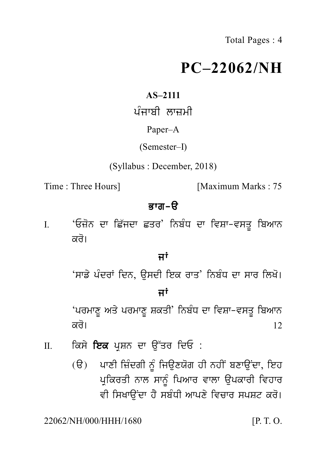# **PC–22062/NH**  $PC-220$ <br>AS-2111<br>ਪੰਜਾਬੀ ਲਾਜ਼ਮੀ<br>Paper–A<br>(Semester–I)

# **AS–2111**

# Paper–A

# (Semester–I)

(Syllabus : December, 2018)

Time : Three Hours] [Maximum Marks : 75

Bwg -a I. Three Hours] **ਭਾਗ-ੳ**<br>I. 'ਓਜ਼ੋਨ ਦਾ ਛਿੱਜਦਾ ਛਤਰ' ਨਿਬੰਧ ਦਾ ਵਿਸ਼ਾ-ਵਸਤੂ ਬਿਆਨ<br>ਕਰੋ। ਜਾਣ ਜਰਗ<sub>ਤ]</sub><br>'ਓਜ਼ੋਨ ਦਾ ਛਿੱਜਦਾ ਛਤਰ'<br>ਕਰੋ।<br><del>ਸਾ</del>ਵਿਤ ਵਿਚ ਉਚਾਰੇ ਪ ਗ−s<br><sup>j'</sup> ਨਿਬੰਧ ਦਾ ਵਿਸ਼ਾ−ਵਸਤੂ<br>ਜਾਂ<br>–•ਂ ਕਰੋ।<br>ਕਰੋ।<br>'ਸਾਡੇ ਪੰਦਰਾਂ ਦਿਨ, ਉਸਦੀ ਇਕ ਰਾਤ' ਨਿਬੰਧ ਦਾ ਸਾਰ ਲਿਖੋ।<br>ਜਾਂ

ਜਾਂ<br><sup>ਜਾਂ</sup><br>ਜਾਂ<br>ਕਤੀ' ਨਿਬੰਧ ਦਾ ਵਿਸ਼ਾ-ਵਸ<mark>਼</mark> 'prmwx U Aq y prmwx U SkqI' inb MD dw ivSw-vsq U ibAwn 'ਸਾਡ ਖਦਰਾਂ ਵਿਨ, ਚੁਸਦਾ ਵਿਕ ਚਾਂਤਾ ਨਿਬੰਧ ਦਾ ਸਾਰ ਨਿਖਾ।<br>ਜਾਂ<br>'ਪਰਮਾਣੂ ਅਤੇ ਪਰਮਾਣੂ ਸ਼ਕਤੀ' ਨਿਬੰਧ ਦਾ ਵਿਸ਼ਾ–ਵਸਤੂ ਬਿਆਨ<br>ਕਰੋ। ਉੱਤਰ ਦਿਓ :<br>ਕਿਸੇ **ਇਕ** ਪ੍ਰਸ਼ਨ ਦਾ ਉੱਤਰ ਦਿਓ : 'ਪਰਮਾਣੂ ਅਤੇ ਪਰਮਾਣੂ ਸ਼ਕਤੀ' ਨਿਬੰਧ ਦਾ ਵਿਸ਼ਾ–ਵ<br>ਕਰੋ।<br>II. ਕਿਸੇ ਇਕ ਪ੍ਰਸ਼ਨ ਦਾ ਉੱਤਰ ਦਿਓ :<br>(ੳ) ਪਾਣੀ ਜ਼ਿੰਦਗੀ ਨੂੰ ਜਿਉਣਯੋਗ ਹੀ ਨਹੀਂ ਬਣ

- 
- ਕਰੋ।<br>ਕਿਸੇ **ਇਕ** ਪ੍ਰਸ਼ਨ ਦਾ ਉੱਤਰ ਦਿਓ :<br>(ੳ) ਪਾਣੀ ਜ਼ਿੰਦਗੀ ਨੂੰ ਜਿਉਣਯੋਗ ਹੀ ਨਹੀਂ ਬਣਾਉਂਦਾ, ਇਹ<br>ਪ੍ਰਕਿਰਤੀ ਨਾਲ ਸਾਨੂੰ ਪਿਆਰ ਵਾਲਾ ਉਪਕਾਰੀ ਵਿਹਾਰ<br>ਵੀ ਸਿਖਾੳਂਦਾ ਹੈ ਸਬੰਧੀ ਆਪਣੇ ਵਿਚਾਰ ਸਪਸ਼ਟ ਕਰੋ। ਕਿਸੇ **ਇਕ** ਪ੍ਰਸ਼ਨ ਦਾ ਉੱਤਰ ਦਿਓ :<br>(ੳ) ਪਾਣੀ ਜ਼ਿੰਦਗੀ ਨੂੰ ਜਿਉਣਯੋਗ ਹੀ ਨਹੀਂ ਬਣਾਉਂਦਾ, ਇਹ<br>ਪ੍ਰਕਿਰਤੀ ਨਾਲ ਸਾਨੂੰ ਪਿਆਰ ਵਾਲਾ ਉਪਕਾਰੀ ਵਿਹਾਰ<br>ਵੀ ਸਿਖਾੳਂਦਾ ਹੈ ਸਬੰਧੀ ਆਪਣੇ ਵਿਚਾਰ ਸਪਸ਼ਟ ਕਰੋ। vI isKwa uNdw h Y sb MDI Awpx y ivcwr spSt kr o[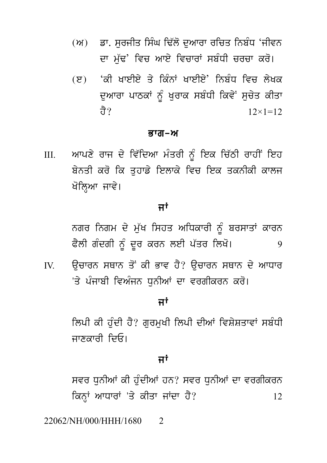- (ਅ) ਡਾ. ਸਰਜੀਤ ਸਿੰਘ ਢਿੱਲੋ ਦਆਰਾ ਰਚਿਤ ਨਿਬੰਧ 'ਜੀਵਨ ਦਾ ਮੱਢ' ਵਿਚ ਆਏ ਵਿਚਾਰਾਂ ਸਬੰਧੀ ਚਰਚਾ ਕਰੋ।
- (ੲ) 'ਕੀ ਖਾਈਏ ਤੇ ਕਿੰਨਾਂ ਖਾਈਏ' ਨਿਬੰਧ ਵਿਜ਼ ਲੇਖਕ ਦੁਆਰਾ ਪਾਠਕਾਂ ਨੂੰ ਖੁਰਾਕ ਸਬੰਧੀ ਕਿਵੇਂ ਸੁਚੇਤ ਕੀਤਾ तै?  $12 \times 1 = 12$

# ਭਾਗ–ਅ

ਆਪਣੇ ਰਾਜ ਦੇ ਵਿੱਦਿਆ ਮੰਤਰੀ ਨੂੰ ਇਕ ਚਿੱਠੀ ਰਾਹੀਂ ਇਹ  $III.$ ਬੇਨਤੀ ਕਰੋ ਕਿ ਤਹਾਡੇ ਇਲਾਕੇ ਵਿਚ ਇਕ ਤਕਨੀਕੀ ਕਾਲਜ ਖੋਲਿਆ ਜਾਵੇ।

# ਜਾਂ

ਨਗਰ ਨਿਗਮ ਦੇ ਮੁੱਖ ਸਿਹਤ ਅਧਿਕਾਰੀ ਨੂੰ ਬਰਸਾਤਾਂ ਕਾਰਨ ਫੈਲੀ ਗੰਦਗੀ ਨੂੰ ਦੂਰ ਕਰਨ ਲਈ ਪੱਤਰ ਲਿਖੋ। 9

ਉਚਾਰਨ ਸਥਾਨ ਤੋਂ ਕੀ ਭਾਵ ਹੈ? ਉਚਾਰਨ ਸਥਾਨ ਦੇ ਆਧਾਰ  $\overline{N}$ 'ਤੇ ਪੰਜਾਬੀ ਵਿਅੰਜਨ ਧਨੀਆਂ ਦਾ ਵਰਗੀਕਰਨ ਕਰੋ।

# ਜਾਂ

ਲਿਪੀ ਕੀ ਹੰਦੀ ਹੈ? ਗਰਮਖੀ ਲਿਪੀ ਦੀਆਂ ਵਿਸ਼ੇਸ਼ਤਾਵਾਂ ਸਬੰਧੀ ਜਾਣਕਾਰੀ ਦਿਓ।

# ਜਾਂ

ਸਵਰ ਧਨੀਆਂ ਕੀ ਹੰਦੀਆਂ ਹਨ? ਸਵਰ ਧਨੀਆਂ ਦਾ ਵਰਗੀਕਰਨ ਕਿਨਾਂ ਆਧਾਰਾਂ 'ਤੇ ਕੀਤਾ ਜਾਂਦਾ ਹੈ?  $12<sup>2</sup>$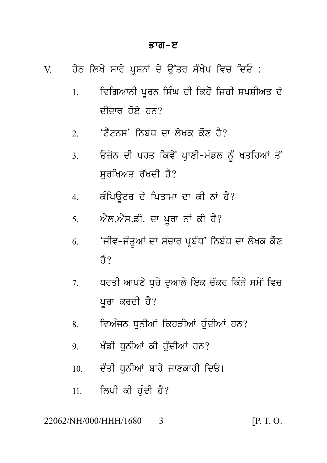# ਭਾਗ–ੲ

| $V_{\cdot}$ |  |  | ਹੇਠ ਲਿਖੇ ਸਾਰੇ ਪ੍ਰਸ਼ਨਾਂ ਦੇ ਉੱਤਰ ਸੰਖੇਪ ਵਿਚ ਦਿਓ : |  |  |
|-------------|--|--|------------------------------------------------|--|--|
|             |  |  |                                                |  |  |
|             |  |  |                                                |  |  |

- ਵਿਗਿਆਨੀ ਪਰਨ ਸਿੰਘ ਦੀ ਕਿਹੋ ਜਿਹੀ ਸ਼ਖਸ਼ੀਅਤ ਦੇ  $1<sup>1</sup>$ ਦੀਦਾਰ ਹੋਏ ਹਨ?
- 'ਟੈਟਨਸ' ਨਿਸੰਧ ਦਾ ਲੇਖਕ ਕੌਣ ਹੈ?  $\overline{2}$
- ਓਜ਼ੋਨ ਦੀ ਪਰਤ ਕਿਵੇਂ ਪਾਣੀ-ਮੰਡਲ ਨੂੰ ਖਤਰਿਆਂ ਤੋਂ  $\mathcal{E}$ ਸਰਖਿਅਤ ਰੱਖਦੀ ਹੈ?
- ਕੰਪਿਊਟਰ ਦੇ ਪਿਤਾਮਾ ਦਾ ਕੀ ਨਾਂ ਹੈ?  $\overline{4}$
- ਐਲ.ਐਸ.ਡੀ. ਦਾ ਪਰਾ ਨਾਂ ਕੀ ਹੈ?  $5.$
- 'ਜੀਵ-ਜੰਤਆਂ ਦਾ ਸੰਚਾਰ ਪਬੰਧ' ਨਿਬੰਧ ਦਾ ਲੇਖਕ ਕੋਣ 6 तै?
- ਧਰਤੀ ਆਪਣੇ ਧਰੇ ਦਆਲੇ ਇਕ ਚੱਕਰ ਕਿੰਨੇ ਸਮੇਂ ਵਿਚ  $7<sub>1</sub>$ ਪੁਰਾ ਕਰਦੀ ਹੈ?
- ਵਿਅੰਜਨ ਧਨੀਆਂ ਕਿਹੜੀਆਂ ਹੰਦੀਆਂ ਹਨ? 8.
- ਖੰਡੀ ਧਨੀਆਂ ਕੀ ਹੰਦੀਆਂ ਹਨ?  $\overline{9}$
- ਦੰਤੀ ਧਨੀਆਂ ਬਾਰੇ ਜਾਣਕਾਰੀ ਦਿਓ।  $10<sub>l</sub>$
- ਲਿਪੀ ਕੀ ਹੰਦੀ ਹੈ?  $11.$

## 22062/NH/000/HHH/1680 3

 $[P, T, O]$